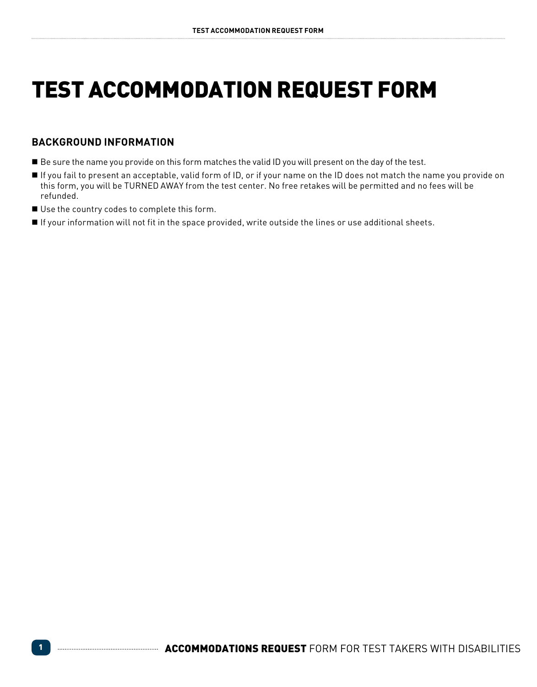# **TEST ACCOMMODATION REQUEST FORM**

## **Background Information**

- Be sure the name you provide on this form matches the valid ID you will present on the day of the test.
- If you fail to present an acceptable, valid form of ID, or if your name on the ID does not match the name you provide on this form, you will be TURNED AWAY from the test center. No free retakes will be permitted and no fees will be refunded.
- Use the country codes to complete this form.
- If your information will not fit in the space provided, write outside the lines or use additional sheets.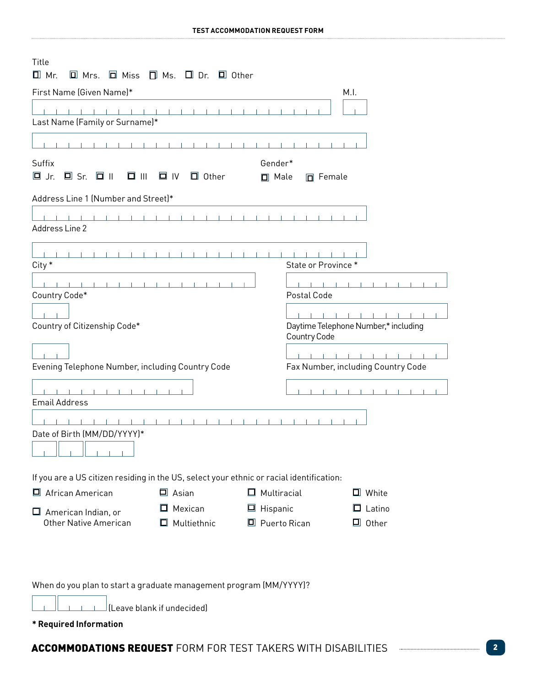| Title<br>$\Box$ Mr.<br>$\square$ Mrs. $\square$ Miss $\square$ Ms. $\square$ Dr. $\square$ Other                                      |                            |                     |                                    |                                      |  |
|---------------------------------------------------------------------------------------------------------------------------------------|----------------------------|---------------------|------------------------------------|--------------------------------------|--|
| First Name (Given Name)*                                                                                                              |                            |                     |                                    | M.I.                                 |  |
| Last Name (Family or Surname)*                                                                                                        |                            |                     |                                    |                                      |  |
|                                                                                                                                       |                            |                     |                                    |                                      |  |
| Gender*<br>Suffix<br>$\Box$ Sr. $\Box$ II<br>$\Box$ IV<br>$\Box$ Jr.<br>$\Box$ $\Box$<br>$\Box$ Other<br>$\Box$ Male<br>$\Box$ Female |                            |                     |                                    |                                      |  |
| Address Line 1 (Number and Street)*                                                                                                   |                            |                     |                                    |                                      |  |
| Address Line 2                                                                                                                        |                            |                     |                                    |                                      |  |
| City *                                                                                                                                |                            |                     | State or Province*                 |                                      |  |
| Country Code*                                                                                                                         |                            |                     | Postal Code                        |                                      |  |
| Country of Citizenship Code*                                                                                                          |                            |                     | Country Code                       | Daytime Telephone Number,* including |  |
|                                                                                                                                       |                            |                     |                                    |                                      |  |
| Evening Telephone Number, including Country Code                                                                                      |                            |                     | Fax Number, including Country Code |                                      |  |
| <b>Email Address</b>                                                                                                                  |                            |                     |                                    |                                      |  |
| Date of Birth (MM/DD/YYYY)*                                                                                                           |                            |                     |                                    |                                      |  |
|                                                                                                                                       |                            |                     |                                    |                                      |  |
| If you are a US citizen residing in the US, select your ethnic or racial identification:                                              |                            |                     |                                    |                                      |  |
| □ African American                                                                                                                    | $\Box$ Asian               | $\Box$ Multiracial  |                                    | $\Box$ White                         |  |
| $\Box$ American Indian, or                                                                                                            | Mexican<br>Ш               | $\Box$ Hispanic     |                                    | $\Box$ Latino                        |  |
| <b>Other Native American</b>                                                                                                          | $\Box$ Multiethnic         | $\Box$ Puerto Rican |                                    | $\Box$ Other                         |  |
| When do you plan to start a graduate management program (MM/YYYY)?                                                                    |                            |                     |                                    |                                      |  |
|                                                                                                                                       | (Leave blank if undecided) |                     |                                    |                                      |  |

**\* Required Information**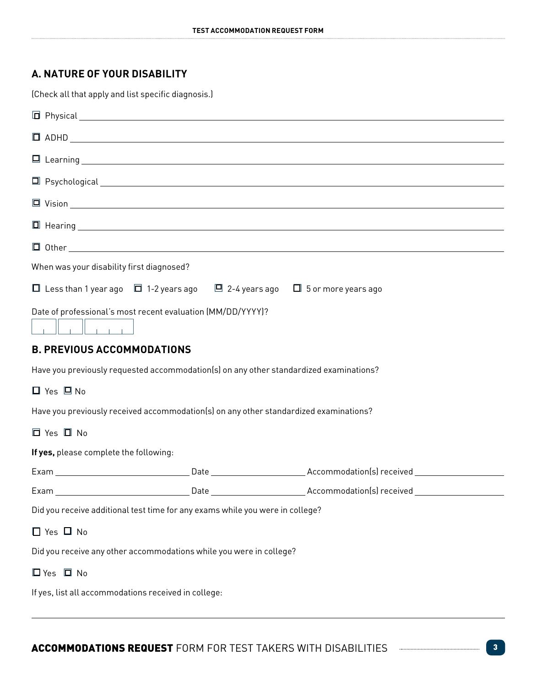## **A. Nature of your Disability**

(Check all that apply and list specific diagnosis.)

|                                                                                        |  | $\Box$ ADHD $\Box$                                                                                                   |  |  |  |
|----------------------------------------------------------------------------------------|--|----------------------------------------------------------------------------------------------------------------------|--|--|--|
|                                                                                        |  |                                                                                                                      |  |  |  |
|                                                                                        |  | $\Box$ Psychological $\Box$                                                                                          |  |  |  |
|                                                                                        |  |                                                                                                                      |  |  |  |
|                                                                                        |  |                                                                                                                      |  |  |  |
|                                                                                        |  |                                                                                                                      |  |  |  |
| When was your disability first diagnosed?                                              |  |                                                                                                                      |  |  |  |
| □ Less than 1 year ago □ 1-2 years ago □ 2-4 years ago □ 5 or more years ago           |  |                                                                                                                      |  |  |  |
| Date of professional's most recent evaluation (MM/DD/YYYY)?                            |  |                                                                                                                      |  |  |  |
| <b>B. PREVIOUS ACCOMMODATIONS</b>                                                      |  |                                                                                                                      |  |  |  |
| Have you previously requested accommodation(s) on any other standardized examinations? |  |                                                                                                                      |  |  |  |
| $\Box$ Yes $\Box$ No                                                                   |  |                                                                                                                      |  |  |  |
| Have you previously received accommodation(s) on any other standardized examinations?  |  |                                                                                                                      |  |  |  |
| □ Yes □ No                                                                             |  |                                                                                                                      |  |  |  |
| If yes, please complete the following:                                                 |  |                                                                                                                      |  |  |  |
|                                                                                        |  |                                                                                                                      |  |  |  |
|                                                                                        |  | Exam ___________________________________Date ___________________________Accommodation(s) received __________________ |  |  |  |
| Did you receive additional test time for any exams while you were in college?          |  |                                                                                                                      |  |  |  |
| $\Box$ Yes $\Box$ No                                                                   |  |                                                                                                                      |  |  |  |
| Did you receive any other accommodations while you were in college?                    |  |                                                                                                                      |  |  |  |
| $\Box$ Yes $\Box$ No                                                                   |  |                                                                                                                      |  |  |  |
| If yes, list all accommodations received in college:                                   |  |                                                                                                                      |  |  |  |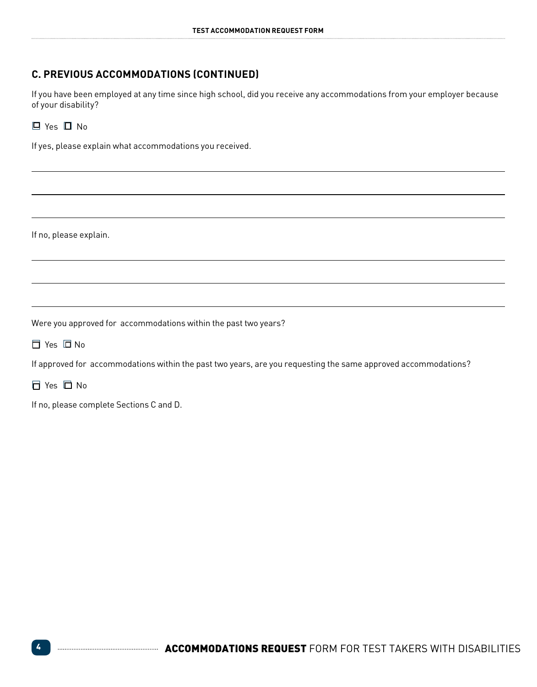## **C. Previous Accommodations (continued)**

If you have been employed at any time since high school, did you receive any accommodations from your employer because of your disability?

### £ Yes £ No

If yes, please explain what accommodations you received.

If no, please explain.

Were you approved for accommodations within the past two years?

£ Yes £ No

If approved for accommodations within the past two years, are you requesting the same approved accommodations?

£ Yes £ No

If no, please complete Sections C and D.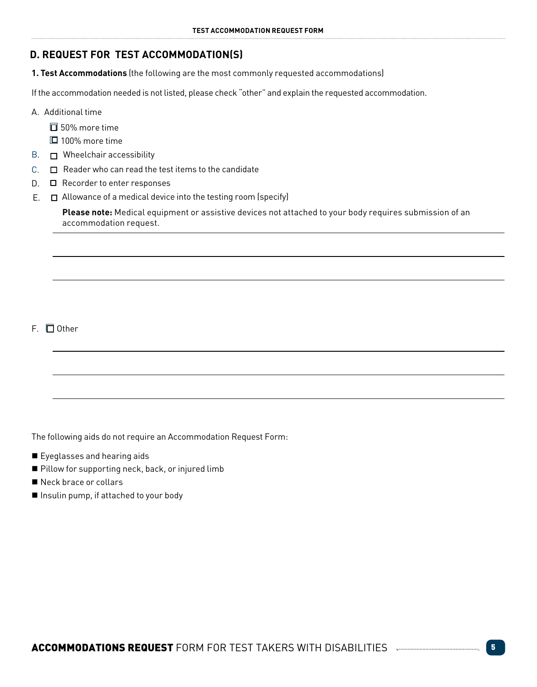## **D. REQUEST FOR TEST ACCOMMODATION(S)**

**1. Test Accommodations** (the following are the most commonly requested accommodations)

If the accommodation needed is not listed, please check "other" and explain the requested accommodation.

- A. Additional time
	- $\square$  50% more time
	- £ 100% more time
- B.  $\Box$  Wheelchair accessibility
- $C.$   $\Box$  Reader who can read the test items to the candidate
- D. □ Recorder to enter responses
- Allowance of a medical device into the testing room (specify) E.

**Please note:** Medical equipment or assistive devices not attached to your body requires submission of an accommodation request.

F. □ Other

The following aids do not require an Accommodation Request Form:

- Eyeglasses and hearing aids
- Pillow for supporting neck, back, or injured limb
- Neck brace or collars
- Insulin pump, if attached to your body